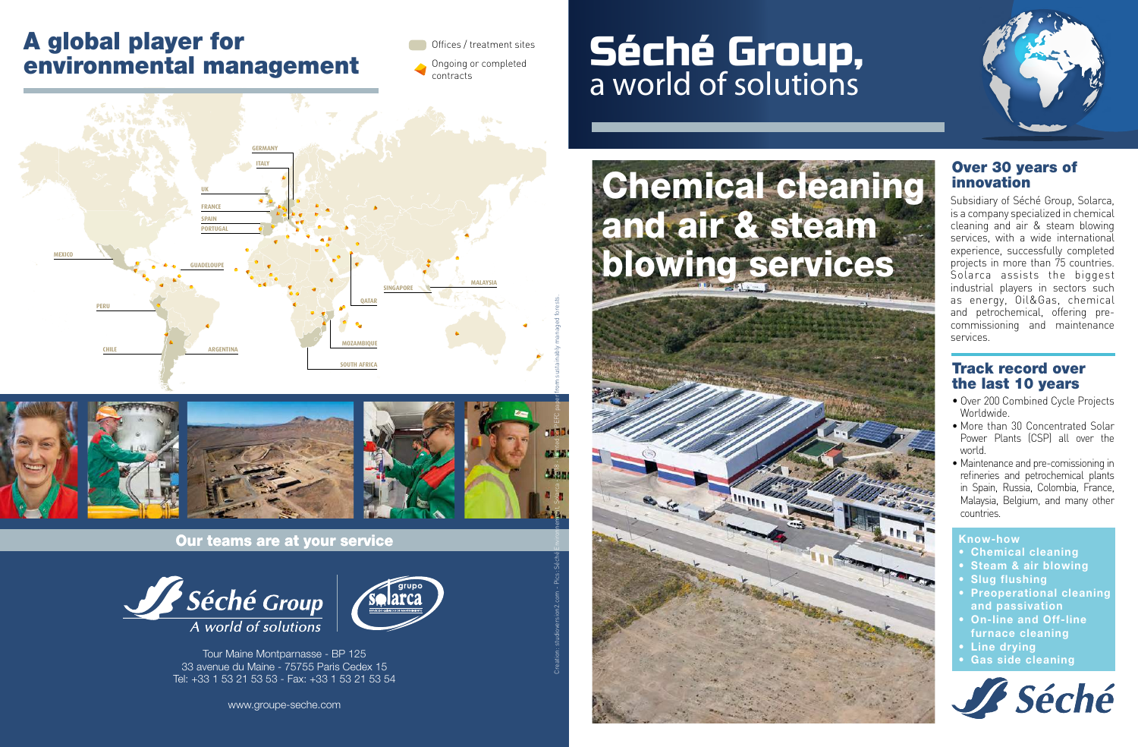#### A global player for environmental management

Offices / treatment sites Ongoing or completed

contracts





Our teams are at your service





Tour Maine Montparnasse - BP 125 33 avenue du Maine - 75755 Paris Cedex 15 Tel: +33 1 53 21 53 53 - Fax: +33 1 53 21 53 54

www.groupe-seche.com

## Séché Group, a world of solutions





Subsidiary of Séché Group, Solarca, is a company specialized in chemical cleaning and air & steam blowing services, with a wide international experience, successfully completed projects in more than 75 countries. Solarca assists the biggest industrial players in sectors such as energy, Oil&Gas, chemical and petrochemical, offering precommissioning and maintenance services.

#### Track record over the last 10 years

- Over 200 Combined Cycle Projects Worldwide.
- More than 30 Concentrated Solar Power Plants (CSP) all over the world.
- Maintenance and pre-comissioning in refineries and petrochemical plants in Spain, Russia, Colombia, France, Malaysia, Belgium, and many other countries.

#### **Know-how**

- **Chemical cleaning**
- **Steam & air blowing**
- **Slug flushing**
- **Preoperational cleaning and passivation**
- **On-line and Off-line**
- **furnace cleaning • Line drying**
- 
- **• Gas side cleaning**